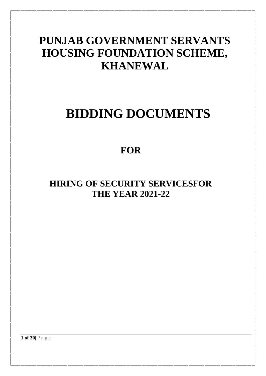## **PUNJAB GOVERNMENT SERVANTS HOUSING FOUNDATION SCHEME, KHANEWAL**

# **BIDDING DOCUMENTS**

## **FOR**

## **HIRING OF SECURITY SERVICESFOR THE YEAR 2021-22**

**1 of 30|** P a g e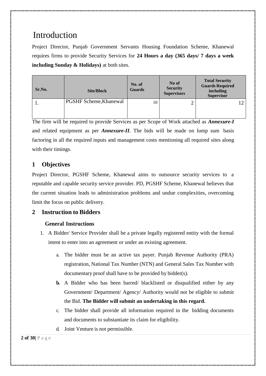## Introduction

Project Director, Punjab Government Servants Housing Foundation Scheme, Khanewal requires firms to provide Security Services for **24 Hours a day (365 days/ 7 days a week including Sunday & Holidays)** at both sites.

| Sr.No. | <b>Site/Block</b>             | No. of<br><b>Guards</b> | No of<br><b>Security</b><br><b>Supervisors</b> | <b>Total Security</b><br><b>Guards Required</b><br>including<br><b>Supervisor</b> |
|--------|-------------------------------|-------------------------|------------------------------------------------|-----------------------------------------------------------------------------------|
|        | <b>PGSHF Scheme, Khanewal</b> | 10                      | ∼                                              |                                                                                   |

The firm will be required to provide Services as per Scope of Work attached as *Annexure-I* and related equipment as per *Annexure-II*. The bids will be made on lump sum basis factoring in all the required inputs and management costs mentioning all required sites along with their timings.

## **1 Objectives**

Project Director, PGSHF Scheme, Khanewal aims to outsource security services to a reputable and capable security service provider. PD, PGSHF Scheme, Khanewal believes that the current situation leads to administration problems and undue complexities, overcoming limit the focus on public delivery.

### **2 Instruction to Bidders**

### **General Instructions**

- 1. A Bidder/ Service Provider shall be a private legally registered entity with the formal intent to enter into an agreement or under an existing agreement.
	- a. The bidder must be an active tax payer. Punjab Revenue Authority (PRA) registration, National Tax Number (NTN) and General Sales Tax Number with documentary proof shall have to be provided by bidder(s).
	- **b.** A Bidder who has been barred/ blacklisted or disqualified either by any Government/ Department/ Agency/ Authority would not be eligible to submit the Bid. **The Bidder will submit an undertaking in this regard.**
	- c. The bidder shall provide all information required in the bidding documents and documents to substantiate its claim for eligibility.
	- d. Joint Venture is not permissible.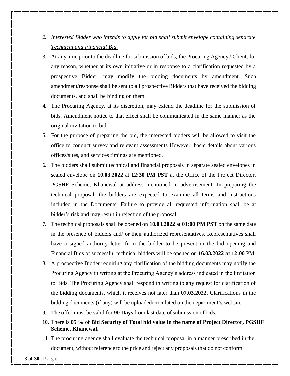- *2. Interested Bidder who intends to apply for bid shall submit envelope containing separate Technical and Financial Bid.*
- 3. At any time prior to the deadline for submission of bids, the Procuring Agency / Client, for any reason, whether at its own initiative or in response to a clarification requested by a prospective Bidder, may modify the bidding documents by amendment. Such amendment/response shall be sent to all prospective Bidders that have received the bidding documents, and shall be binding on them.
- 4. The Procuring Agency, at its discretion, may extend the deadline for the submission of bids. Amendment notice to that effect shall be communicated in the same manner as the original invitation to bid.
- 5. For the purpose of preparing the bid, the interested bidders will be allowed to visit the office to conduct survey and relevant assessments However, basic details about various offices/sites, and services timings are mentioned.
- 6. The bidders shall submit technical and financial proposals in separate sealed envelopes in sealed envelope on **10.03.2022** at **12:30 PM PST** at the Office of the Project Director, PGSHF Scheme, Khanewal at address mentioned in advertisement. In preparing the technical proposal, the bidders are expected to examine all terms and instructions included in the Documents. Failure to provide all requested information shall be at bidder's risk and may result in rejection of the proposal.
- 7. The technical proposals shall be opened on **10.03.2022** at **01:00 PM PST** on the same date in the presence of bidders and/ or their authorized representatives. Representatives shall have a signed authority letter from the bidder to be present in the bid opening and Financial Bids of successful technical bidders will be opened on **16.03.2022 at 12:00** PM.
- 8. A prospective Bidder requiring any clarification of the bidding documents may notify the Procuring Agency in writing at the Procuring Agency's address indicated in the Invitation to Bids. The Procuring Agency shall respond in writing to any request for clarification of the bidding documents, which it receives not later than **07.03.2022.** Clarifications in the bidding documents (if any) will be uploaded/circulated on the department's website.
- 9. The offer must be valid for **90 Days** from last date of submission of bids.
- **10.** There is **05 % of Bid Security of Total bid value in the name of Project Director, PGSHF Scheme, Khanewal.**
- 11. The procuring agency shall evaluate the technical proposal in a manner prescribed in the document, without reference to the price and reject any proposals that do not conform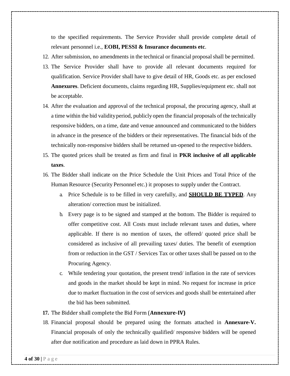to the specified requirements. The Service Provider shall provide complete detail of relevant personnel i.e., **EOBI, PESSI & Insurance documents etc**.

- 12. After submission, no amendments in the technical or financial proposalshall be permitted.
- 13. The Service Provider shall have to provide all relevant documents required for qualification. Service Provider shall have to give detail of HR, Goods etc. as per enclosed **Annexures**. Deficient documents, claims regarding HR, Supplies/equipment etc. shall not be acceptable.
- 14. After the evaluation and approval of the technical proposal, the procuring agency, shall at a time within the bid validityperiod, publicly open the financial proposals of the technically responsive bidders, on a time, date and venue announced and communicated to the bidders in advance in the presence of the bidders or their representatives. The financial bids of the technically non-responsive bidders shall be returned un-opened to the respective bidders.
- 15. The quoted prices shall be treated as firm and final in **PKR inclusive of all applicable taxes**.
- 16. The Bidder shall indicate on the Price Schedule the Unit Prices and Total Price of the Human Resource (Security Personnel etc.) it proposes to supply under the Contract.
	- a. Price Schedule is to be filled in very carefully, and **SHOULD BE TYPED**. Any alteration/ correction must be initialized.
	- b. Every page is to be signed and stamped at the bottom. The Bidder is required to offer competitive cost. All Costs must include relevant taxes and duties, where applicable. If there is no mention of taxes, the offered/ quoted price shall be considered as inclusive of all prevailing taxes/ duties. The benefit of exemption from or reduction in the GST / Services Tax or other taxes shall be passed on to the Procuring Agency.
	- c. While tendering your quotation, the present trend/ inflation in the rate of services and goods in the market should be kept in mind. No request for increase in price due to market fluctuation in the cost of services and goods shall be entertained after the bid has been submitted.
- **17.** The Bidder shall complete the Bid Form (**Annexure-IV)**
- 18. Financial proposal should be prepared using the formats attached in **Annexure-V.** Financial proposals of only the technically qualified/ responsive bidders will be opened after due notification and procedure as laid down in PPRA Rules.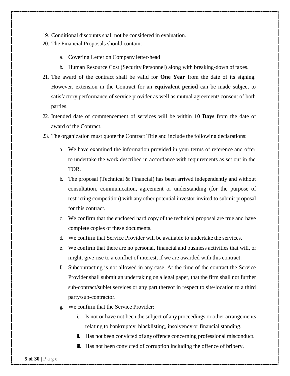- 19. Conditional discounts shall not be considered in evaluation.
- 20. The Financial Proposals should contain:
	- a. Covering Letter on Company letter-head
	- b. Human Resource Cost (Security Personnel) along with breaking-down of taxes.
- 21. The award of the contract shall be valid for **One Year** from the date of its signing. However, extension in the Contract for an **equivalent period** can be made subject to satisfactory performance of service provider as well as mutual agreement/ consent of both parties.
- 22. Intended date of commencement of services will be within **10 Days** from the date of award of the Contract.
- 23. The organization must quote the Contract Title and include the following declarations:
	- a. We have examined the information provided in your terms of reference and offer to undertake the work described in accordance with requirements as set out in the TOR.
	- b. The proposal (Technical & Financial) has been arrived independently and without consultation, communication, agreement or understanding (for the purpose of restricting competition) with any other potential investor invited to submit proposal for this contract.
	- c. We confirm that the enclosed hard copy of the technical proposal are true and have complete copies of these documents.
	- d. We confirm that Service Provider will be available to undertake the services.
	- e. We confirm that there are no personal, financial and business activities that will, or might, give rise to a conflict of interest, if we are awarded with this contract.
	- f. Subcontracting is not allowed in any case. At the time of the contract the Service Provider shall submit an undertaking on a legal paper, that the firm shall not further sub-contract/sublet services or any part thereof in respect to site/location to a third party/sub-contractor.
	- g. We confirm that the Service Provider:
		- i. Is not or have not been the subject of any proceedings or other arrangements relating to bankruptcy, blacklisting, insolvency or financial standing.
		- ii. Has not been convicted of any offence concerning professional misconduct.
		- iii. Has not been convicted of corruption including the offence of bribery.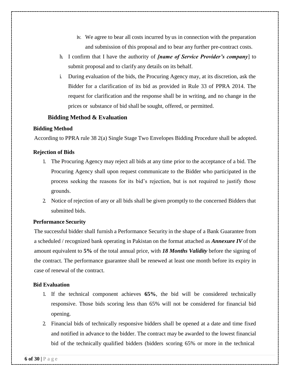- iv. We agree to bear all costs incurred by us in connection with the preparation and submission of this proposal and to bear any further pre-contract costs.
- h. I confirm that I have the authority of *[name of Service Provider's company*] to submit proposal and to clarify any details on its behalf.
- i. During evaluation of the bids, the Procuring Agency may, at its discretion, ask the Bidder for a clarification of its bid as provided in Rule 33 of PPRA 2014. The request for clarification and the response shall be in writing, and no change in the prices or substance of bid shall be sought, offered, or permitted.

#### **Bidding Method & Evaluation**

#### **Bidding Method**

According to PPRA rule 38 2(a) Single Stage Two Envelopes Bidding Procedure shall be adopted.

#### **Rejection of Bids**

- 1. The Procuring Agency may reject all bids at any time prior to the acceptance of a bid. The Procuring Agency shall upon request communicate to the Bidder who participated in the process seeking the reasons for its bid's rejection, but is not required to justify those grounds.
- 2. Notice of rejection of any or all bids shall be given promptly to the concerned Bidders that submitted bids.

#### **Performance Security**

The successful bidder shall furnish a Performance Security in the shape of a Bank Guarantee from a scheduled / recognized bank operating in Pakistan on the format attached as *Annexure IV* of the amount equivalent to **5%** of the total annual price, with *18 Months Validity* before the signing of the contract. The performance guarantee shall be renewed at least one month before its expiry in case of renewal of the contract.

#### **Bid Evaluation**

- 1. If the technical component achieves **65%**, the bid will be considered technically responsive. Those bids scoring less than 65% will not be considered for financial bid opening.
- 2. Financial bids of technically responsive bidders shall be opened at a date and time fixed and notified in advance to the bidder. The contract may be awarded to the lowest financial bid of the technically qualified bidders (bidders scoring 65% or more in the technical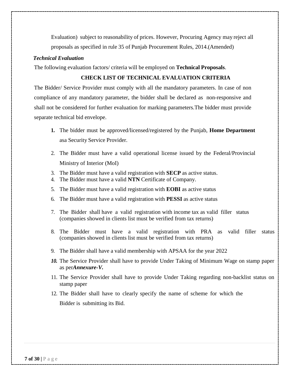Evaluation) subject to reasonability of prices. However, Procuring Agency may reject all proposals as specified in rule 35 of Punjab Procurement Rules, 2014.(Amended)

#### *Technical Evaluation*

The following evaluation factors/ criteria will be employed on **Technical Proposals**.

#### **CHECK LIST OF TECHNICAL EVALUATION CRITERIA**

The Bidder/ Service Provider must comply with all the mandatory parameters. In case of non compliance of any mandatory parameter, the bidder shall be declared as non-responsive and shall not be considered for further evaluation for marking parameters.The bidder must provide separate technical bid envelope.

- **1.** The bidder must be approved/licensed/registered by the Punjab, **Home Department** asa Security Service Provider.
- 2. The Bidder must have a valid operational license issued by the Federal/Provincial Ministry of Interior (MoI)
- 3. The Bidder must have a valid registration with **SECP** as active status.
- 4. The Bidder must have a valid **NTN** Certificate of Company.
- 5. The Bidder must have a valid registration with **EOBI** as active status
- 6. The Bidder must have a valid registration with **PESSI** as active status
- 7. The Bidder shall have a valid registration with income tax as valid filler status (companies showed in clients list must be verified from tax returns)
- 8. The Bidder must have a valid registration with PRA as valid filler status (companies showed in clients list must be verified from tax returns)
- 9. The Bidder shall have a valid membership with APSAA for the year 2022
- *10.* The Service Provider shall have to provide Under Taking of Minimum Wage on stamp paper as per*Annexure-V.*
- 11. The Service Provider shall have to provide Under Taking regarding non-backlist status on stamp paper
- 12. The Bidder shall have to clearly specify the name of scheme for which the Bidder is submitting its Bid.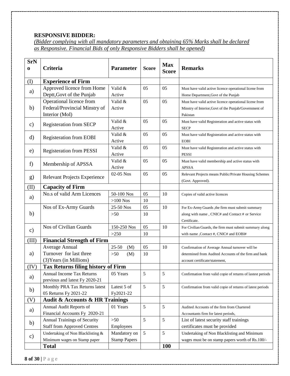### **RESPONSIVE BIDDER:**

*(Bidder complying with all mandatory parameters and obtaining 65% Marks shall be declared as Responsive. Financial Bids of only Responsive Bidders shall be opened)*

| <b>SrN</b>    |                                                |                     |              |                            |                                                             |
|---------------|------------------------------------------------|---------------------|--------------|----------------------------|-------------------------------------------------------------|
| $\bf{0}$      | Criteria                                       | <b>Parameter</b>    | <b>Score</b> | <b>Max</b><br><b>Score</b> | <b>Remarks</b>                                              |
| (I)           | <b>Experience of Firm</b>                      |                     |              |                            |                                                             |
|               | Approved licence from Home                     | Valid &             | 05           | 05                         | Must have valid active licence operational licene from      |
| a)            | Deptt, Govt of the Punjab                      | Active              |              |                            | Home Department, Govt of the Punjab                         |
|               | Operational licence from                       | Valid &             | 05           | 05                         | Must have valid active licence operational licene from      |
| b)            | Federal/Provincial Minstry of                  | Active              |              |                            | Minstry of Interior, Govt of the Punjab/Government of       |
|               | Interior (MoI)                                 |                     |              |                            | Pakistan                                                    |
| $\mathbf{c})$ | <b>Registeration from SECP</b>                 | Valid &             | 05           | 05                         | Must have valid Registeration and active status with        |
|               |                                                | Active              |              |                            | <b>SECP</b>                                                 |
| $\rm d)$      | <b>Registeration from EOBI</b>                 | Valid &             | 05           | 05                         | Must have valid Registeration and active status with        |
|               |                                                | Active              |              |                            | <b>EOBI</b>                                                 |
| e)            | <b>Registeration from PESSI</b>                | Valid &             | 05           | 05                         | Must have valid Registeration and active status with        |
|               |                                                | Active              |              |                            | <b>PESSI</b>                                                |
| f)            | Membership of APSSA                            | Valid &             | 05           | 05                         | Must have valid membership and active status with           |
|               |                                                | Active              |              |                            | <b>APSSA</b>                                                |
| g)            | <b>Relevant Projects Experience</b>            | 02-05 Nos           | 05           | 05                         | Relevant Projects means Public/Private Housing Schemes      |
|               |                                                |                     |              |                            | (Govt. Approved).                                           |
| (II)          | <b>Capacity of Firm</b>                        |                     |              |                            |                                                             |
| a)            | No.s of valid Arm Licences                     | 50-100 Nos          | 05           | 10                         | Copies of valid active licences                             |
|               |                                                | $>100$ Nos          | 10           |                            |                                                             |
|               | Nos of Ex-Army Guards                          | 25-50 Nos           | 05           | 10                         | For Ex-Army Guards , the firm must submit summary           |
| b)            |                                                | $>50$               | 10           |                            | along with name, CNIC# and Contact # or Service             |
|               |                                                |                     |              |                            | Certificate.                                                |
| $\mathbf{c})$ | Nos of Civilian Guards                         | 150-250 Nos         | 05           | 10                         | For Civilian Guards, the firm must submit summary along     |
|               |                                                | >250                | 10           |                            | with name , Contact #, CNIC# and EOBI#                      |
| (III)         | <b>Financial Strength of Firm</b>              |                     |              |                            |                                                             |
|               | Average Annual                                 | $25 - 50$<br>(M)    | 05           | 10                         | Confirmation of Average Annual turnover will be             |
| a)            | Turnover for last three                        | $>50$<br>(M)        | 10           |                            | determined from Audited Accounts of the firm and bank       |
|               | (3) Years (in Millions)                        |                     |              |                            | account certificate/statement,                              |
| (IV)          | <b>Tax Returns filing history of Firm</b>      |                     |              |                            |                                                             |
| a)            | <b>Annual Income Tax Returns</b>               | 05 Years            | 5            | 5                          | Confirmation from valid copie of returns of lastest periods |
|               | previous and latest Fy 2020-21                 |                     |              |                            |                                                             |
| b)            | Monthly PRA Tax Returns latest                 | Latest 5 of         | 5            | 5                          | Confirmation from valid copie of returns of latest periods  |
|               | 05 Returns Fy 2021-22                          | Fy2021-22           |              |                            |                                                             |
| (V)           | <b>Audit &amp; Accounts &amp; HR Trainings</b> |                     |              |                            |                                                             |
| a)            | Annual Audit Reports of                        | 01 Years            | 5            | 5                          | Audited Accounts of the firm from Chartered                 |
|               | Financial Accounts Fy 2020-21                  |                     |              |                            | Accountants firm for latest periods,                        |
| b)            | Annual Trainings of Security                   | $>50$               | 5            | 5                          | List of latest security staff trainings                     |
|               | <b>Staff from Approved Centres</b>             | Employees           |              |                            | certificates must be provided                               |
| $\mathbf{c})$ | Undertaking of Non Blacklisting &              | Mandatory on        | 5            | 5                          | Undertaking of Non Blacklisting and Minimum                 |
|               | Minimum wages on Stamp paper                   | <b>Stamp Papers</b> |              |                            | wages must be on stamp papers worth of Rs.100/-             |
|               | <b>Total</b>                                   |                     |              | <b>100</b>                 |                                                             |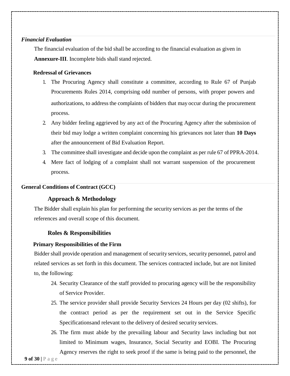#### *Financial Evaluation*

The financial evaluation of the bid shall be according to the financial evaluation as given in **Annexure-III**. Incomplete bids shall stand rejected.

#### **Redressal of Grievances**

- 1. The Procuring Agency shall constitute a committee, according to Rule 67 of Punjab Procurements Rules 2014, comprising odd number of persons, with proper powers and authorizations, to address the complaints of bidders that may occur during the procurement process.
- 2. Any bidder feeling aggrieved by any act of the Procuring Agency after the submission of their bid may lodge a written complaint concerning his grievances not later than **10 Days** after the announcement of Bid Evaluation Report.
- 3. The committee shall investigate and decide upon the complaint as per rule 67 of PPRA-2014.
- 4. Mere fact of lodging of a complaint shall not warrant suspension of the procurement process.

#### **General Conditions of Contract (GCC)**

#### **Approach & Methodology**

The Bidder shall explain his plan for performing the security services as per the terms of the references and overall scope of this document.

#### **Roles & Responsibilities**

#### **Primary Responsibilities of the Firm**

Bidder shall provide operation and management of security services, security personnel, patrol and related services as set forth in this document. The services contracted include, but are not limited to, the following:

- 24. Security Clearance of the staff provided to procuring agency will be the responsibility of Service Provider.
- 25. The service provider shall provide Security Services 24 Hours per day (02 shifts), for the contract period as per the requirement set out in the Service Specific Specificationsand relevant to the delivery of desired security services.
- 26. The firm must abide by the prevailing labour and Security laws including but not limited to Minimum wages, Insurance, Social Security and EOBI. The Procuring Agency reserves the right to seek proof if the same is being paid to the personnel, the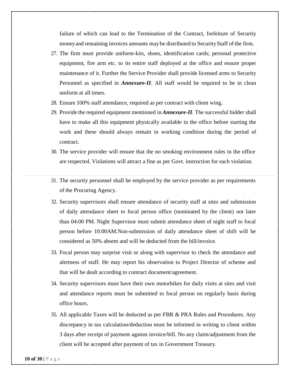failure of which can lead to the Termination of the Contract, forfeiture of Security money and remaining invoices amounts may be distributed to Security Staff of the firm.

- 27. The firm must provide uniform-kits, shoes, identification cards; personal protective equipment, fire arm etc. to its entire staff deployed at the office and ensure proper maintenance of it. Further the Service Provider shall provide licensed arms to Security Personnel as specified in *Annexure-II*. All staff would be required to be in clean uniform at all times.
- 28. Ensure 100% staff attendance, required as per contract with client wing.
- 29. Provide the required equipment mentioned in *Annexure-II*. The successful bidder shall have to make all this equipment physically available in the office before starting the work and these should always remain in working condition during the period of contract.
- 30. The service provider will ensure that the no smoking environment rules in the office are respected. Violations will attract a fine as per Govt. instruction for each violation.
- 31. The security personnel shall be employed by the service provider as per requirements of the Procuring Agency.
- 32. Security supervisors shall ensure attendance of security staff at sites and submission of daily attendance sheet to focal person office (nominated by the client) not later than 04:00 PM. Night Supervisor must submit attendance sheet of night staff to focal person before 10:00AM.Non-submission of daily attendance sheet of shift will be considered as 50% absent and will be deducted from the bill/invoice.
- 33. Focal person may surprise visit or along with supervisor to check the attendance and alertness of staff. He may report his observation to Project Director of scheme and that will be dealt according to contract document/agreement.
- 34. Security supervisors must have their own motorbikes for daily visits at sites and visit and attendance reports must be submitted to focal person on regularly basis during office hours.
- 35. All applicable Taxes will be deducted as per FBR & PRA Rules and Procedures. Any discrepancy in tax calculation/deduction must be informed in writing to client within 3 days after receipt of payment against invoice/bill. No any claim/adjustment from the client will be accepted after payment of tax in Government Treasury.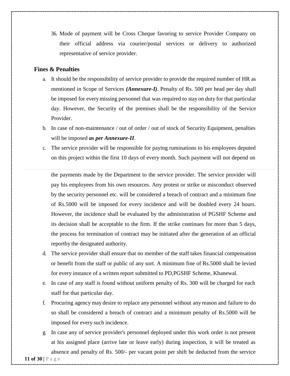36. Mode of payment will be Cross Cheque favoring to service Provider Company on their official address via courier/postal services or delivery to authorized representative of service provider.

#### **Fines & Penalties**

- a. It should be the responsibility of service provider to provide the required number of HR as mentioned in Scope of Services *(Annexure-I)*. Penalty of Rs. 500 per head per day shall be imposed for everymissing personnel that was required to stay on duty for that particular day. However, the Security of the premises shall be the responsibility of the Service Provider.
- b. In case of non-maintenance / out of order / out of stock of Security Equipment, penalties will be imposed *as per Annexure-II*.
- c. The service provider will be responsible for paying ruminations to his employees deputed on this project within the first 10 days of every month. Such payment will not depend on

the payments made by the Department to the service provider. The service provider will pay his employees from his own resources. Any protest or strike or misconduct observed by the security personnel etc. will be considered a breach of contract and a minimum fine of Rs.5000 will be imposed for every incidence and will be doubled every 24 hours. However, the incidence shall be evaluated by the administration of PGSHF Scheme and its decision shall be acceptable to the firm. If the strike continues for more than 5 days, the process for termination of contract may be initiated after the generation of an official reportby the designated authority.

- d. The service provider shall ensure that no member of the staff takes financial compensation or benefit from the staff or public of any sort. A minimum fine of Rs.5000 shall be levied for every instance of a written report submitted to PD,PGSHF Scheme, Khanewal.
- e. In case of any staff is found without uniform penalty of Rs. 300 will be charged for each staff for that particular day.
- f. Procuring agency may desire to replace any personnel without any reason and failure to do so shall be considered a breach of contract and a minimum penalty of Rs.5000 will be imposed for every such incidence.
- g. In case any of service provider's personnel deployed under this work order is not present at his assigned place (arrive late or leave early) during inspection, it will be treated as absence and penalty of Rs. 500/- per vacant point per shift be deducted from the service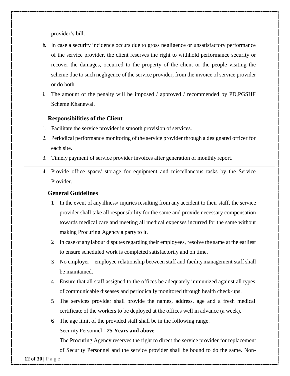provider's bill.

- h. In case a security incidence occurs due to gross negligence or unsatisfactory performance of the service provider, the client reserves the right to withhold performance security or recover the damages, occurred to the property of the client or the people visiting the scheme due to such negligence of the service provider, from the invoice of service provider or do both.
- i. The amount of the penalty will be imposed / approved / recommended by PD,PGSHF Scheme Khanewal.

#### **Responsibilities of the Client**

- 1. Facilitate the service provider in smooth provision of services.
- 2. Periodical performance monitoring of the service provider through a designated officer for each site.
- 3. Timely payment of service provider invoices after generation of monthly report.
- 4. Provide office space/ storage for equipment and miscellaneous tasks by the Service Provider.

#### **General Guidelines**

- 1. In the event of any illness/ injuries resulting from any accident to their staff, the service provider shall take all responsibility for the same and provide necessary compensation towards medical care and meeting all medical expenses incurred for the same without making Procuring Agency a party to it.
- 2. In case of anylabour disputes regarding their employees, resolve the same at the earliest to ensure scheduled work is completed satisfactorily and on time.
- 3. No employer employee relationship between staff and facilitymanagement staff shall be maintained.
- 4. Ensure that all staff assigned to the offices be adequately immunized against all types of communicable diseases and periodically monitored through health check-ups.
- 5. The services provider shall provide the names, address, age and a fresh medical certificate of the workers to be deployed at the offices well in advance (a week).
- **6.** The age limit of the provided staff shall be in the following range.

#### Security Personnel - **25 Years and above**

The Procuring Agency reserves the right to direct the service provider for replacement of Security Personnel and the service provider shall be bound to do the same. Non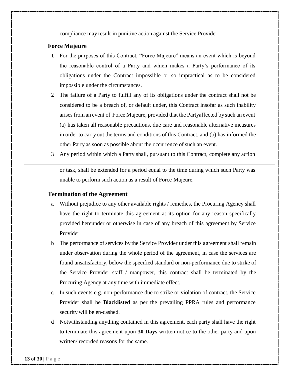compliance may result in punitive action against the Service Provider.

#### **Force Majeure**

- 1. For the purposes of this Contract, "Force Majeure" means an event which is beyond the reasonable control of a Party and which makes a Party's performance of its obligations under the Contract impossible or so impractical as to be considered impossible under the circumstances.
- 2. The failure of a Party to fulfill any of its obligations under the contract shall not be considered to be a breach of, or default under, this Contract insofar as such inability arises from an event of Force Majeure, provided that the Partyaffected bysuch an event (a) has taken all reasonable precautions, due care and reasonable alternative measures in order to carry out the terms and conditions of this Contract, and (b) has informed the other Party as soon as possible about the occurrence of such an event.
- 3. Any period within which a Party shall, pursuant to this Contract, complete any action

or task, shall be extended for a period equal to the time during which such Party was unable to perform such action as a result of Force Majeure.

#### **Termination of the Agreement**

- a. Without prejudice to any other available rights / remedies, the Procuring Agency shall have the right to terminate this agreement at its option for any reason specifically provided hereunder or otherwise in case of any breach of this agreement by Service Provider.
- b. The performance of services by the Service Provider under this agreement shall remain under observation during the whole period of the agreement, in case the services are found unsatisfactory, below the specified standard or non-performance due to strike of the Service Provider staff / manpower, this contract shall be terminated by the Procuring Agency at any time with immediate effect.
- c. In such events e.g. non-performance due to strike or violation of contract, the Service Provider shall be **Blacklisted** as per the prevailing PPRA rules and performance security will be en-cashed.
- d. Notwithstanding anything contained in this agreement, each party shall have the right to terminate this agreement upon **30 Days** written notice to the other party and upon written/ recorded reasons for the same.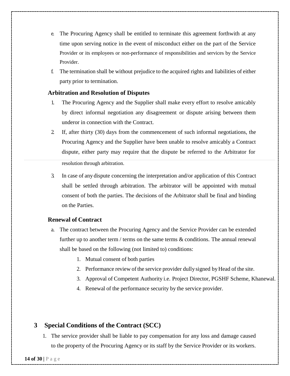- e. The Procuring Agency shall be entitled to terminate this agreement forthwith at any time upon serving notice in the event of misconduct either on the part of the Service Provider or its employees or non-performance of responsibilities and services by the Service Provider.
- f. The termination shall be without prejudice to the acquired rights and liabilities of either party prior to termination.

#### **Arbitration and Resolution of Disputes**

- 1. The Procuring Agency and the Supplier shall make every effort to resolve amicably by direct informal negotiation any disagreement or dispute arising between them underor in connection with the Contract.
- 2. If, after thirty (30) days from the commencement of such informal negotiations, the Procuring Agency and the Supplier have been unable to resolve amicably a Contract dispute, either party may require that the dispute be referred to the Arbitrator for resolution through arbitration.
- 3. In case of any dispute concerning the interpretation and/or application of this Contract shall be settled through arbitration. The arbitrator will be appointed with mutual consent of both the parties. The decisions of the Arbitrator shall be final and binding on the Parties.

#### **Renewal of Contract**

- a. The contract between the Procuring Agency and the Service Provider can be extended further up to another term / terms on the same terms  $\&$  conditions. The annual renewal shall be based on the following (not limited to) conditions:
	- 1. Mutual consent of both parties
	- 2. Performance review of the service provider dully signed byHead of the site.
	- 3. Approval of Competent Authority i.e. Project Director, PGSHF Scheme, Khanewal.
	- 4. Renewal of the performance security by the service provider.

### **3 Special Conditions of the Contract (SCC)**

1. The service provider shall be liable to pay compensation for any loss and damage caused to the property of the Procuring Agency or its staff by the Service Provider or its workers.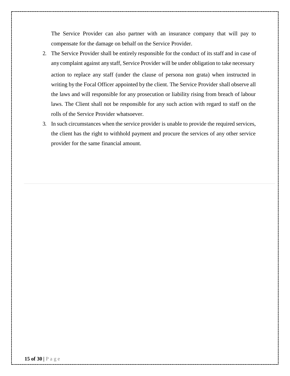The Service Provider can also partner with an insurance company that will pay to compensate for the damage on behalf on the Service Provider.

- 2. The Service Provider shall be entirely responsible for the conduct of its staff and in case of anycomplaint against anystaff, Service Provider will be under obligation to take necessary action to replace any staff (under the clause of persona non grata) when instructed in writing by the Focal Officer appointed by the client. The Service Provider shall observe all the laws and will responsible for any prosecution or liability rising from breach of labour laws. The Client shall not be responsible for any such action with regard to staff on the rolls of the Service Provider whatsoever.
- 3. In such circumstances when the service provider is unable to provide the required services, the client has the right to withhold payment and procure the services of any other service provider for the same financial amount.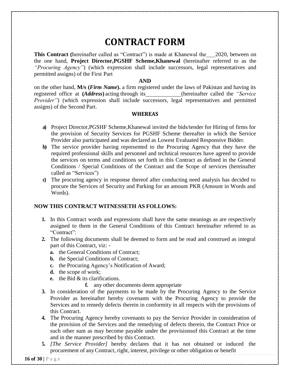## **CONTRACT FORM**

**This Contract** (hereinafter called as "Contract") is made at Khanewal the 2020, between on the one hand, **Project Director,PGSHF Scheme,Khanewal** (hereinafter referred to as the *"Procuring Agency"*) (which expression shall include successors, legal representatives and permitted assigns) of the First Part

#### **AND**

on the other hand, **M/s (***Firm Name***).** a firm registered under the laws of Pakistan and having its registered office at **(***Address***)** acting through its (hereinafter called the *"Service Provider"*) (which expression shall include successors, legal representatives and permitted assigns) of the Second Part.

#### **WHEREAS**

- **a)** Project Director,PGSHF Scheme,Khanewal invited the bids/tender for Hiring of firms for the provision of Security Services for PGSHF Scheme thereafter in which the Service Provider also participated and was declared as Lowest Evaluated Responsive Bidder.
- **b)** The service provider having represented to the Procuring Agency that they have the required professional skills and personnel and technical resources have agreed to provide the services on terms and conditions set forth in this Contract as defined in the General Conditions / Special Conditions of the Contract and the Scope of services (hereinafter called as "Services")
- **c)** The procuring agency in response thereof after conducting need analysis has decided to procure the Services of Security and Parking for an amount PKR (Amount in Words and Words).

#### **NOW THIS CONTRACT WITNESSETH AS FOLLOWS:**

- **1.** In this Contract words and expressions shall have the same meanings as are respectively assigned to them in the General Conditions of this Contract hereinafter referred to as "Contract":
- **2.** The following documents shall be deemed to form and be read and construed as integral part of this Contract, viz:
	- **a.** the General Conditions of Contract;
	- **b.** the Special Conditions of Contract;
	- **c.** the Procuring Agency's Notification of Award;
	- **d.** the scope of work;
	- **e.** the Bid & its clarifications.
		- **f.** any other documents deem appropriate
- **3.** In consideration of the payments to be made by the Procuring Agency to the Service Provider as hereinafter hereby covenants with the Procuring Agency to provide the Services and to remedy defects therein in conformity in all respects with the provisions of this Contract.
- **4.** The Procuring Agency hereby covenants to pay the Service Provider in consideration of the provision of the Services and the remedying of defects therein, the Contract Price or such other sum as may become payable under the provisionsof this Contract at the time and in the manner prescribed by this Contract.
- **5.** *[The Service Provider]* hereby declares that it has not obtained or induced the procurement of anyContract, right, interest, privilege or other obligation or benefit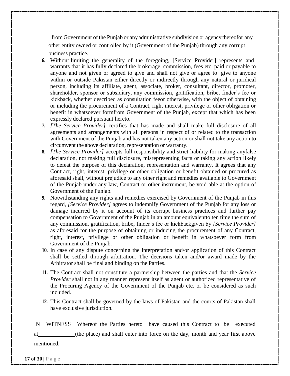from Government of the Punjab or anyadministrative subdivision or agency thereofor any other entity owned or controlled by it (Government of the Punjab) through any corrupt business practice.

- **6.** Without limiting the generality of the foregoing, [Service Provider] represents and warrants that it has fully declared the brokerage, commission, fees etc. paid or payable to anyone and not given or agreed to give and shall not give or agree to give to anyone within or outside Pakistan either directly or indirectly through any natural or juridical person, including its affiliate, agent, associate, broker, consultant, director, promoter, shareholder, sponsor or subsidiary, any commission, gratification, bribe, finder's fee or kickback, whether described as consultation feeor otherwise, with the object of obtaining or including the procurement of a Contract, right interest, privilege or other obligation or benefit in whatsoever formfrom Government of the Punjab, except that which has been expressly declared pursuant hereto.
- **7.** *[The Service Provider]* certifies that has made and shall make full disclosure of all agreements and arrangements with all persons in respect of or related to the transaction with Government of the Punjab and has not taken any action or shall not take any action to circumvent the above declaration, representation or warranty.
- **8.** *[The Service Provider]* accepts full responsibility and strict liability for making anyfalse declaration, not making full disclosure, misrepresenting facts or taking any action likely to defeat the purpose of this declaration, representation and warranty. It agrees that any Contract, right, interest, privilege or other obligation or benefit obtained or procured as aforesaid shall, without prejudice to any other right and remedies available to Government of the Punjab under any law, Contract or other instrument, be void able at the option of Government of the Punjab.
- **9.** Notwithstanding any rights and remedies exercised by Government of the Punjab in this regard, *[Service Provider]* agrees to indemnify Government of the Punjab for any loss or damage incurred by it on account of its corrupt business practices and further pay compensation to Government of the Punjab in an amount equivalentto ten time the sum of any commission, gratification, bribe, finder's fee or kickbackgiven by *[Service Provider]* as aforesaid for the purpose of obtaining or inducing the procurement of any Contract, right, interest, privilege or other obligation or benefit in whatsoever form from Government of the Punjab.
- **10.** In case of any dispute concerning the interpretation and/or application of this Contract shall be settled through arbitration. The decisions taken and/or award made by the Arbitrator shall be final and binding on the Parties.
- **11.** The Contract shall not constitute a partnership between the parties and that the *Service Provider* shall not in any manner represent itself as agent or authorized representative of the Procuring Agency of the Government of the Punjab etc. or be considered as such included.
- **12.** This Contract shall be governed by the laws of Pakistan and the courts of Pakistan shall have exclusive jurisdiction.

IN WITNESS Whereof the Parties hereto have caused this Contract to be executed at (the place) and shall enter into force on the day, month and year first above mentioned.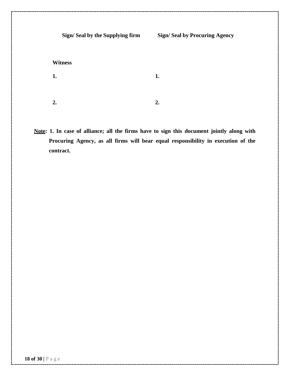**Sign/ Seal by the Supplying firm Witness Sign/ Seal by Procuring Agency 1. 2. 1. 2.**

**Note: 1. In case of alliance; all the firms have to sign this document jointly along with Procuring Agency, as all firms will bear equal responsibility in execution of the contract.**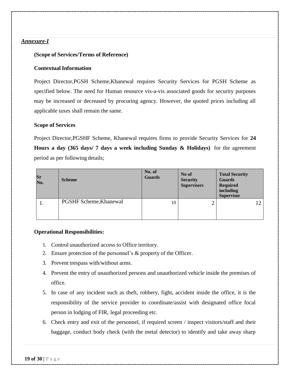#### *Annexure-I*

#### **(Scope of Services/Terms of Reference)**

#### **ContextualInformation**

Project Director,PGSH Scheme,Khanewal requires Security Services for PGSH Scheme as specified below. The need for Human resource vis-a-vis associated goods for security purposes may be increased or decreased by procuring agency. However, the quoted prices including all applicable taxes shall remain the same.

#### **Scope of Services**

Project Director,PGSHF Scheme, Khanewal requires firms to provide Security Services for **24 Hours a day (365 days/ 7 days a week including Sunday & Holidays)** for the agreement period as per following details;

| Sr<br>No. | <b>Scheme</b>          | No. of<br><b>Guards</b> | No of<br><b>Security</b><br><b>Supervisors</b> | <b>Total Security</b><br><b>Guards</b><br><b>Required</b><br>including<br><b>Supervisor</b> |
|-----------|------------------------|-------------------------|------------------------------------------------|---------------------------------------------------------------------------------------------|
| 1.        | PGSHF Scheme, Khanewal | 10                      | ↑<br>∠                                         |                                                                                             |

#### **Operational Responsibilities:**

- 1. Control unauthorized access to Office territory.
- 2. Ensure protection of the personnel's & property of the Officer.
- 3. Prevent trespass with/without arms.
- 4. Prevent the entry of unauthorized persons and unauthorized vehicle inside the premises of office.
- 5. In case of any incident such as theft, robbery, fight, accident inside the office, it is the responsibility of the service provider to coordinate/assist with designated office focal person in lodging of FIR, legal proceeding etc.
- 6. Check entry and exit of the personnel, if required screen / inspect visitors/staff and their baggage, conduct body check (with the metal detector) to identify and take away sharp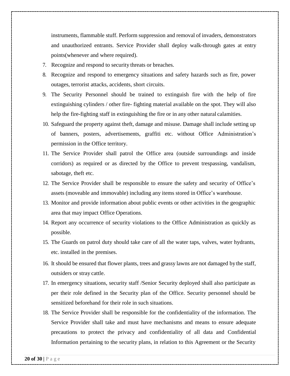instruments, flammable stuff. Perform suppression and removal of invaders, demonstrators and unauthorized entrants. Service Provider shall deploy walk-through gates at entry points(whenever and where required).

- 7. Recognize and respond to security threats or breaches.
- 8. Recognize and respond to emergency situations and safety hazards such as fire, power outages, terrorist attacks, accidents, short circuits.
- 9. The Security Personnel should be trained to extinguish fire with the help of fire extinguishing cylinders / other fire- fighting material available on the spot. They will also help the fire-fighting staff in extinguishing the fire or in any other natural calamities.
- 10. Safeguard the property against theft, damage and misuse. Damage shall include setting up of banners, posters, advertisements, graffiti etc. without Office Administration's permission in the Office territory.
- 11. The Service Provider shall patrol the Office area (outside surroundings and inside corridors) as required or as directed by the Office to prevent trespassing, vandalism, sabotage, theft etc.
- 12. The Service Provider shall be responsible to ensure the safety and security of Office's assets (moveable and immovable) including any items stored in Office's warehouse.
- 13. Monitor and provide information about public events or other activities in the geographic area that may impact Office Operations.
- 14. Report any occurrence of security violations to the Office Administration as quickly as possible.
- 15. The Guards on patrol duty should take care of all the water taps, valves, water hydrants, etc. installed in the premises.
- 16. It should be ensured that flower plants, trees and grassy lawns are not damaged bythe staff, outsiders or stray cattle.
- 17. In emergency situations, security staff /Senior Security deployed shall also participate as per their role defined in the Security plan of the Office. Security personnel should be sensitized beforehand for their role in such situations.
- 18. The Service Provider shall be responsible for the confidentiality of the information. The Service Provider shall take and must have mechanisms and means to ensure adequate precautions to protect the privacy and confidentiality of all data and Confidential Information pertaining to the security plans, in relation to this Agreement or the Security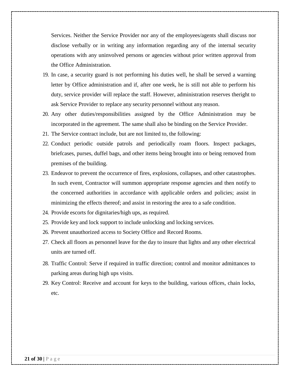Services. Neither the Service Provider nor any of the employees/agents shall discuss nor disclose verbally or in writing any information regarding any of the internal security operations with any uninvolved persons or agencies without prior written approval from the Office Administration.

- 19. In case, a security guard is not performing his duties well, he shall be served a warning letter by Office administration and if, after one week, he is still not able to perform his duty, service provider will replace the staff. However, administration reserves theright to ask Service Provider to replace any security personnel without any reason.
- 20. Any other duties/responsibilities assigned by the Office Administration may be incorporated in the agreement. The same shall also be binding on the Service Provider.
- 21. The Service contract include, but are not limited to, the following:
- 22. Conduct periodic outside patrols and periodically roam floors. Inspect packages, briefcases, purses, duffel bags, and other items being brought into or being removed from premises of the building.
- 23. Endeavor to prevent the occurrence of fires, explosions, collapses, and other catastrophes. In such event, Contractor will summon appropriate response agencies and then notify to the concerned authorities in accordance with applicable orders and policies; assist in minimizing the effects thereof; and assist in restoring the area to a safe condition.
- 24. Provide escorts for dignitaries/high ups, as required.
- 25. Provide key and lock support to include unlocking and locking services.
- 26. Prevent unauthorized access to Society Office and Record Rooms.
- 27. Check all floors as personnel leave for the day to insure that lights and any other electrical units are turned off.
- 28. Traffic Control: Serve if required in traffic direction; control and monitor admittances to parking areas during high ups visits.
- 29. Key Control: Receive and account for keys to the building, various offices, chain locks, etc.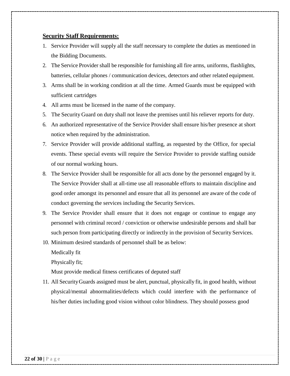#### **Security Staff Requirements:**

- 1. Service Provider will supply all the staff necessary to complete the duties as mentioned in the Bidding Documents.
- 2. The Service Provider shall be responsible for furnishing all fire arms, uniforms, flashlights, batteries, cellular phones / communication devices, detectors and other related equipment.
- 3. Arms shall be in working condition at all the time. Armed Guards must be equipped with sufficient cartridges
- 4. All arms must be licensed in the name of the company.
- 5. The Security Guard on duty shall not leave the premises until his reliever reports for duty.
- 6. An authorized representative of the Service Provider shall ensure his/her presence at short notice when required by the administration.
- 7. Service Provider will provide additional staffing, as requested by the Office, for special events. These special events will require the Service Provider to provide staffing outside of our normal working hours.
- 8. The Service Provider shall be responsible for all acts done by the personnel engaged by it. The Service Provider shall at all-time use all reasonable efforts to maintain discipline and good order amongst its personnel and ensure that all its personnel are aware of the code of conduct governing the services including the Security Services.
- 9. The Service Provider shall ensure that it does not engage or continue to engage any personnel with criminal record / conviction or otherwise undesirable persons and shall bar such person from participating directly or indirectly in the provision of Security Services.
- 10. Minimum desired standards of personnel shall be as below:

Medically fit

Physically fit;

Must provide medical fitness certificates of deputed staff

11. All SecurityGuards assigned must be alert, punctual, physically fit, in good health, without physical/mental abnormalities/defects which could interfere with the performance of his/her duties including good vision without color blindness. They should possess good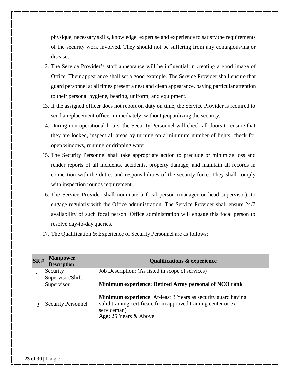physique, necessary skills, knowledge, expertise and experience to satisfy the requirements of the security work involved. They should not be suffering from any contagious/major diseases

- 12. The Service Provider's staff appearance will be influential in creating a good image of Office. Their appearance shall set a good example. The Service Provider shall ensure that guard personnel at all times present a neat and clean appearance, paying particular attention to their personal hygiene, bearing, uniform, and equipment.
- 13. If the assigned officer does not report on duty on time, the Service Provider is required to send a replacement officer immediately, without jeopardizing the security.
- 14. During non-operational hours, the Security Personnel will check all doors to ensure that they are locked, inspect all areas by turning on a minimum number of lights, check for open windows, running or dripping water.
- 15. The Security Personnel shall take appropriate action to preclude or minimize loss and render reports of all incidents, accidents, property damage, and maintain all records in connection with the duties and responsibilities of the security force. They shall comply with inspection rounds requirement.
- 16. The Service Provider shall nominate a focal person (manager or head supervisor), to engage regularly with the Office administration. The Service Provider shall ensure 24/7 availability of such focal person. Office administration will engage this focal person to resolve day-to-day queries.
- 17. The Qualification & Experience of Security Personnel are as follows;

| SR# | <b>Manpower</b><br><b>Description</b> | <b>Qualifications &amp; experience</b>                                                                                                                                         |
|-----|---------------------------------------|--------------------------------------------------------------------------------------------------------------------------------------------------------------------------------|
|     | Security                              | Job Description: (As listed in scope of services)                                                                                                                              |
|     | Supervisor/Shift                      |                                                                                                                                                                                |
|     | Supervisor                            | Minimum experience: Retired Army personal of NCO rank                                                                                                                          |
|     | <b>Security Personnel</b>             | <b>Minimum experience</b> At-least 3 Years as security guard having<br>valid training certificate from approved training center or ex-<br>serviceman)<br>Age: 25 Years & Above |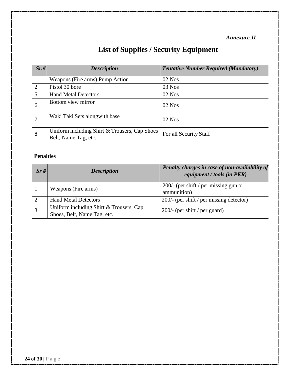### *Annexure-II*

## **List of Supplies / Security Equipment**

| Sr.#           | <b>Description</b>                                                    | <b>Tentative Number Required (Mandatory)</b> |
|----------------|-----------------------------------------------------------------------|----------------------------------------------|
|                | Weapons (Fire arms) Pump Action                                       | 02 Nos                                       |
| $\overline{2}$ | Pistol 30 bore                                                        | $03$ Nos                                     |
| 5              | <b>Hand Metal Detectors</b>                                           | $02$ Nos                                     |
| 6              | Bottom view mirror                                                    | $02$ Nos                                     |
|                | Waki Taki Sets alongwith base                                         | $02$ Nos                                     |
| 8              | Uniform including Shirt & Trousers, Cap Shoes<br>Belt, Name Tag, etc. | For all Security Staff                       |

### **Penalties**

| Sr# | <b>Description</b>                                                     | Penalty charges in case of non-availability of<br>equipment / tools (in PKR) |
|-----|------------------------------------------------------------------------|------------------------------------------------------------------------------|
|     | Weapons (Fire arms)                                                    | $200/-$ (per shift / per missing gun or<br>ammunition)                       |
|     | <b>Hand Metal Detectors</b>                                            | 200/- (per shift / per missing detector)                                     |
|     | Uniform including Shirt & Trousers, Cap<br>Shoes, Belt, Name Tag, etc. | $200/$ - (per shift / per guard)                                             |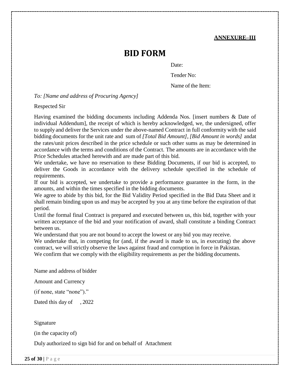#### **ANNEXURE–III**

## **BID FORM**

Date:

Tender No:

Name of the Item:

*To: [Name and address of Procuring Agency]*

Respected Sir

Having examined the bidding documents including Addenda Nos. [insert numbers & Date of individual Addendum], the receipt of which is hereby acknowledged, we, the undersigned, offer to supply and deliver the Services under the above-named Contract in full conformity with the said bidding documents for the unit rate and sum of *[Total Bid Amount]*, *[Bid Amount in words]* andat the rates/unit prices described in the price schedule or such other sums as may be determined in accordance with the terms and conditions of the Contract. The amounts are in accordance with the Price Schedules attached herewith and are made part of this bid.

We undertake, we have no reservation to these Bidding Documents, if our bid is accepted, to deliver the Goods in accordance with the delivery schedule specified in the schedule of requirements.

If our bid is accepted, we undertake to provide a performance guarantee in the form, in the amounts, and within the times specified in the bidding documents.

We agree to abide by this bid, for the Bid Validity Period specified in the Bid Data Sheet and it shall remain binding upon us and may be accepted by you at any time before the expiration of that period.

Until the formal final Contract is prepared and executed between us, this bid, together with your written acceptance of the bid and your notification of award, shall constitute a binding Contract between us.

We understand that you are not bound to accept the lowest or any bid you may receive.

We undertake that, in competing for (and, if the award is made to us, in executing) the above contract, we will strictly observe the laws against fraud and corruption in force in Pakistan.

We confirm that we comply with the eligibility requirements as per the bidding documents.

Name and address of bidder

Amount and Currency

(if none, state "none")."

Dated this day of , 2022

Signature

(in the capacity of)

Duly authorized to sign bid for and on behalf of Attachment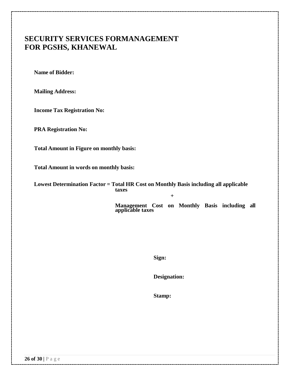## **SECURITY SERVICES FORMANAGEMENT FOR PGSHS, KHANEWAL**

**Name of Bidder:**

**Mailing Address:**

**Income Tax Registration No:**

**PRA Registration No:**

**Total Amount in Figure on monthly basis:**

**Total Amount in words on monthly basis:**

**Lowest Determination Factor = Total HR Cost on Monthly Basis including all applicable taxes**

> **Management Cost on Monthly Basis including all applicable taxes**

**+**

**Sign:**

**Designation:**

**Stamp:**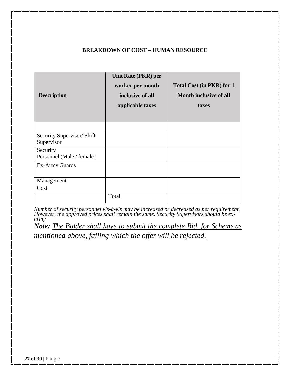#### **BREAKDOWN OF COST – HUMAN RESOURCE**

| <b>Description</b>                       | Unit Rate (PKR) per<br>worker per month<br>inclusive of all<br>applicable taxes | <b>Total Cost (in PKR) for 1</b><br><b>Month inclusive of all</b><br>taxes |
|------------------------------------------|---------------------------------------------------------------------------------|----------------------------------------------------------------------------|
|                                          |                                                                                 |                                                                            |
| Security Supervisor/ Shift<br>Supervisor |                                                                                 |                                                                            |
| Security<br>Personnel (Male / female)    |                                                                                 |                                                                            |
| Ex-Army Guards                           |                                                                                 |                                                                            |
| Management                               |                                                                                 |                                                                            |
| Cost                                     |                                                                                 |                                                                            |
|                                          | Total                                                                           |                                                                            |

*Number of security personnel vis-à-vis may be increased or decreased as per requirement.* However, the approved prices shall remain the same. Security Supervisors should be ex*army*

*Note: The Bidder shall have to submit the complete Bid, for Scheme as mentioned above, failing which the offer will be rejected.*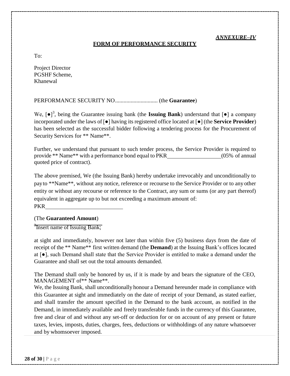#### *ANNEXURE–IV*

#### **FORM OF PERFORMANCE SECURITY**

To:

Project Director PGSHF Scheme, Khanewal

PERFORMANCE SECURITY NO.............................. (the **Guarantee**)

We,  $[\bullet]^3$ , being the Guarantee issuing bank (the **Issuing Bank**) understand that  $[\bullet]$  a company incorporated under the laws of [●] having its registered office located at [●] (the **Service Provider**) has been selected as the successful bidder following a tendering process for the Procurement of Security Services for \*\* Name\*\*.

Further, we understand that pursuant to such tender process, the Service Provider is required to provide \*\* Name\*\* with a performance bond equal to PKR (05% of annual quoted price of contract).

The above premised, We (the Issuing Bank) hereby undertake irrevocably and unconditionally to payto \*\*Name\*\*, without any notice, reference or recourse to the Service Provider or to any other entity or without any recourse or reference to the Contract, any sum or sums (or any part thereof) equivalent in aggregate up to but not exceeding a maximum amount of: PKR

#### (The **Guaranteed Amount**)

<sup>3</sup>Insert name of Issuing Bank;

at sight and immediately, however not later than within five (5) business days from the date of receipt of the \*\* Name\*\* first written demand (the **Demand**) at the Issuing Bank's offices located at [●], such Demand shall state that the Service Provider is entitled to make a demand under the Guarantee and shall set out the total amounts demanded.

The Demand shall only be honored by us, if it is made by and bears the signature of the CEO, MANAGEMENT of\*\* Name\*\*.

We, the Issuing Bank, shall unconditionally honour a Demand hereunder made in compliance with this Guarantee at sight and immediately on the date of receipt of your Demand, as stated earlier, and shall transfer the amount specified in the Demand to the bank account, as notified in the Demand, in immediately available and freely transferable funds in the currency of this Guarantee, free and clear of and without any set-off or deduction for or on account of any present or future taxes, levies, imposts, duties, charges, fees, deductions or withholdings of any nature whatsoever and by whomsoever imposed.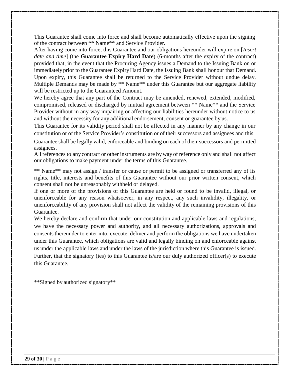This Guarantee shall come into force and shall become automatically effective upon the signing of the contract between \*\* Name\*\* and Service Provider.

After having come into force, this Guarantee and our obligations hereunder will expire on [*Insert date and time*] (the **Guarantee Expiry Hard Date**) (6-months after the expiry of the contract) provided that, in the event that the Procuring Agency issues a Demand to the Issuing Bank on or immediately prior to the Guarantee Expiry Hard Date, the Issuing Bank shall honour that Demand. Upon expiry, this Guarantee shall be returned to the Service Provider without undue delay. Multiple Demands may be made by \*\* Name<sup>\*\*</sup> under this Guarantee but our aggregate liability will be restricted up to the Guaranteed Amount.

We hereby agree that any part of the Contract may be amended, renewed, extended, modified, compromised, released or discharged by mutual agreement between \*\* Name\*\* and the Service Provider without in any way impairing or affecting our liabilities hereunder without notice to us and without the necessity for any additional endorsement, consent or guarantee by us.

This Guarantee for its validity period shall not be affected in any manner by any change in our constitution or of the Service Provider's constitution or of their successors and assignees and this

Guarantee shall be legally valid, enforceable and binding on each of their successors and permitted assignees.

All references to any contract or other instruments are byway of reference only and shall not affect our obligations to make payment under the terms of this Guarantee.

\*\* Name\*\* may not assign / transfer or cause or permit to be assigned or transferred any of its rights, title, interests and benefits of this Guarantee without our prior written consent, which consent shall not be unreasonably withheld or delayed.

If one or more of the provisions of this Guarantee are held or found to be invalid, illegal, or unenforceable for any reason whatsoever, in any respect, any such invalidity, illegality, or unenforceability of any provision shall not affect the validity of the remaining provisions of this Guarantee.

We hereby declare and confirm that under our constitution and applicable laws and regulations, we have the necessary power and authority, and all necessary authorizations, approvals and consents thereunder to enter into, execute, deliver and perform the obligations we have undertaken under this Guarantee, which obligations are valid and legally binding on and enforceable against us under the applicable laws and under the laws of the jurisdiction where this Guarantee is issued. Further, that the signatory (ies) to this Guarantee is/are our duly authorized officer(s) to execute this Guarantee.

\*\*Signed by authorized signatory\*\*